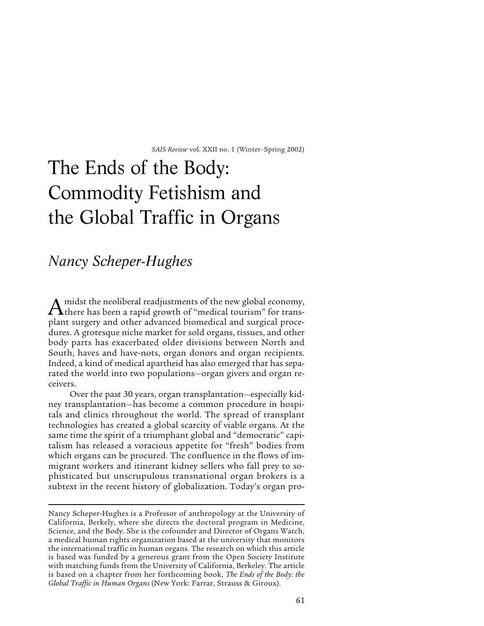*SAIS Review* vol. XXII no. 1 (Winter–Spring 2002)

# The Ends of the Body: Commodity Fetishism and the Global Traffic in Organs

# *Nancy Scheper-Hughes*

A midst the neoliberal readjustments of the new global economy,<br>there has been a rapid growth of "medical tourism" for transplant surgery and other advanced biomedical and surgical procedures. A grotesque niche market for sold organs, tissues, and other body parts has exacerbated older divisions between North and South, haves and have-nots, organ donors and organ recipients. Indeed, a kind of medical apartheid has also emerged that has separated the world into two populations—organ givers and organ receivers.

Over the past 30 years, organ transplantation—especially kidney transplantation—has become a common procedure in hospitals and clinics throughout the world. The spread of transplant technologies has created a global scarcity of viable organs. At the same time the spirit of a triumphant global and "democratic" capitalism has released a voracious appetite for "fresh" bodies from which organs can be procured. The confluence in the flows of immigrant workers and itinerant kidney sellers who fall prey to sophisticated but unscrupulous transnational organ brokers is a subtext in the recent history of globalization. Today's organ pro-

Nancy Scheper-Hughes is a Professor of anthropology at the University of California, Berkely, where she directs the doctoral program in Medicine, Science, and the Body. She is the cofounder and Director of Organs Watch, a medical human rights organization based at the university that monitors the international traffic in human organs. The research on which this article is based was funded by a generous grant from the Open Society Institute with matching funds from the University of California, Berkeley. The article is based on a chapter from her forthcoming book, *The Ends of the Body: the Global Traffic in Human Organs* (New York: Farrar, Strauss & Giroux).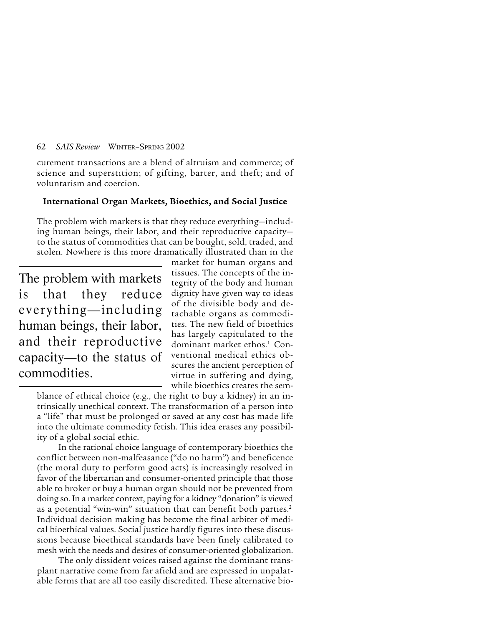curement transactions are a blend of altruism and commerce; of science and superstition; of gifting, barter, and theft; and of voluntarism and coercion.

# **International Organ Markets, Bioethics, and Social Justice**

The problem with markets is that they reduce everything—including human beings, their labor, and their reproductive capacity to the status of commodities that can be bought, sold, traded, and stolen. Nowhere is this more dramatically illustrated than in the

The problem with markets is that they reduce everything—including human beings, their labor, and their reproductive capacity—to the status of commodities.

market for human organs and tissues. The concepts of the integrity of the body and human dignity have given way to ideas of the divisible body and detachable organs as commodities. The new field of bioethics has largely capitulated to the dominant market ethos.<sup>1</sup> Conventional medical ethics obscures the ancient perception of virtue in suffering and dying, while bioethics creates the sem-

blance of ethical choice (e.g., the right to buy a kidney) in an intrinsically unethical context. The transformation of a person into a "life" that must be prolonged or saved at any cost has made life into the ultimate commodity fetish. This idea erases any possibility of a global social ethic.

In the rational choice language of contemporary bioethics the conflict between non-malfeasance ("do no harm") and beneficence (the moral duty to perform good acts) is increasingly resolved in favor of the libertarian and consumer-oriented principle that those able to broker or buy a human organ should not be prevented from doing so. In a market context, paying for a kidney "donation" is viewed as a potential "win-win" situation that can benefit both parties.<sup>2</sup> Individual decision making has become the final arbiter of medical bioethical values. Social justice hardly figures into these discussions because bioethical standards have been finely calibrated to mesh with the needs and desires of consumer-oriented globalization.

The only dissident voices raised against the dominant transplant narrative come from far afield and are expressed in unpalatable forms that are all too easily discredited. These alternative bio-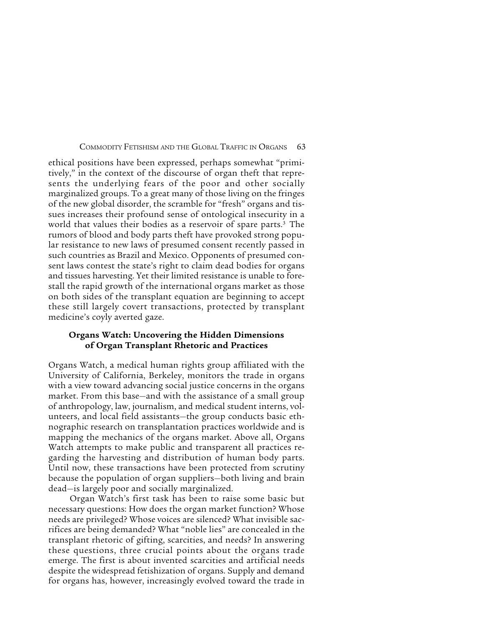ethical positions have been expressed, perhaps somewhat "primitively," in the context of the discourse of organ theft that represents the underlying fears of the poor and other socially marginalized groups. To a great many of those living on the fringes of the new global disorder, the scramble for "fresh" organs and tissues increases their profound sense of ontological insecurity in a world that values their bodies as a reservoir of spare parts.<sup>3</sup> The rumors of blood and body parts theft have provoked strong popular resistance to new laws of presumed consent recently passed in such countries as Brazil and Mexico. Opponents of presumed consent laws contest the state's right to claim dead bodies for organs and tissues harvesting. Yet their limited resistance is unable to forestall the rapid growth of the international organs market as those on both sides of the transplant equation are beginning to accept these still largely covert transactions, protected by transplant medicine's coyly averted gaze.

# **Organs Watch: Uncovering the Hidden Dimensions of Organ Transplant Rhetoric and Practices**

Organs Watch, a medical human rights group affiliated with the University of California, Berkeley, monitors the trade in organs with a view toward advancing social justice concerns in the organs market. From this base—and with the assistance of a small group of anthropology, law, journalism, and medical student interns, volunteers, and local field assistants—the group conducts basic ethnographic research on transplantation practices worldwide and is mapping the mechanics of the organs market. Above all, Organs Watch attempts to make public and transparent all practices regarding the harvesting and distribution of human body parts. Until now, these transactions have been protected from scrutiny because the population of organ suppliers—both living and brain dead—is largely poor and socially marginalized.

Organ Watch's first task has been to raise some basic but necessary questions: How does the organ market function? Whose needs are privileged? Whose voices are silenced? What invisible sacrifices are being demanded? What "noble lies" are concealed in the transplant rhetoric of gifting, scarcities, and needs? In answering these questions, three crucial points about the organs trade emerge. The first is about invented scarcities and artificial needs despite the widespread fetishization of organs. Supply and demand for organs has, however, increasingly evolved toward the trade in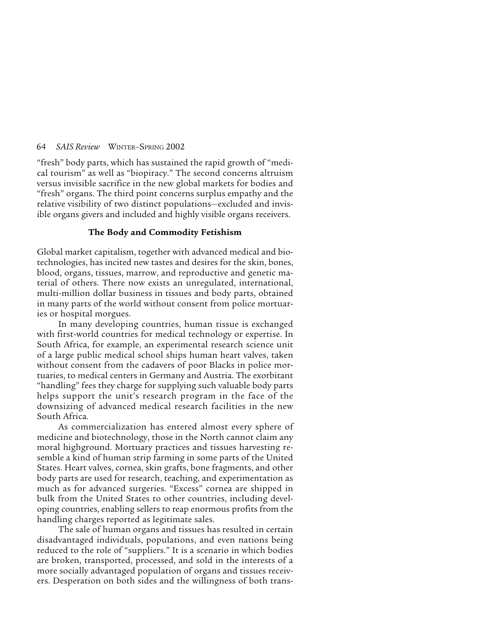"fresh" body parts, which has sustained the rapid growth of "medical tourism" as well as "biopiracy." The second concerns altruism versus invisible sacrifice in the new global markets for bodies and "fresh" organs. The third point concerns surplus empathy and the relative visibility of two distinct populations—excluded and invisible organs givers and included and highly visible organs receivers.

# **The Body and Commodity Fetishism**

Global market capitalism, together with advanced medical and biotechnologies, has incited new tastes and desires for the skin, bones, blood, organs, tissues, marrow, and reproductive and genetic material of others. There now exists an unregulated, international, multi-million dollar business in tissues and body parts, obtained in many parts of the world without consent from police mortuaries or hospital morgues.

In many developing countries, human tissue is exchanged with first-world countries for medical technology or expertise. In South Africa, for example, an experimental research science unit of a large public medical school ships human heart valves, taken without consent from the cadavers of poor Blacks in police mortuaries, to medical centers in Germany and Austria. The exorbitant "handling" fees they charge for supplying such valuable body parts helps support the unit's research program in the face of the downsizing of advanced medical research facilities in the new South Africa.

As commercialization has entered almost every sphere of medicine and biotechnology, those in the North cannot claim any moral highground. Mortuary practices and tissues harvesting resemble a kind of human strip farming in some parts of the United States. Heart valves, cornea, skin grafts, bone fragments, and other body parts are used for research, teaching, and experimentation as much as for advanced surgeries. "Excess" cornea are shipped in bulk from the United States to other countries, including developing countries, enabling sellers to reap enormous profits from the handling charges reported as legitimate sales.

The sale of human organs and tissues has resulted in certain disadvantaged individuals, populations, and even nations being reduced to the role of "suppliers." It is a scenario in which bodies are broken, transported, processed, and sold in the interests of a more socially advantaged population of organs and tissues receivers. Desperation on both sides and the willingness of both trans-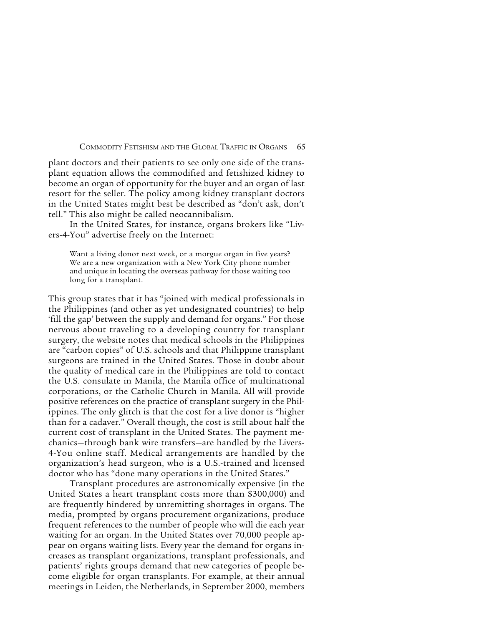plant doctors and their patients to see only one side of the transplant equation allows the commodified and fetishized kidney to become an organ of opportunity for the buyer and an organ of last resort for the seller. The policy among kidney transplant doctors in the United States might best be described as "don't ask, don't tell." This also might be called neocannibalism.

In the United States, for instance, organs brokers like "Livers-4-You" advertise freely on the Internet:

Want a living donor next week, or a morgue organ in five years? We are a new organization with a New York City phone number and unique in locating the overseas pathway for those waiting too long for a transplant.

This group states that it has "joined with medical professionals in the Philippines (and other as yet undesignated countries) to help 'fill the gap' between the supply and demand for organs." For those nervous about traveling to a developing country for transplant surgery, the website notes that medical schools in the Philippines are "carbon copies" of U.S. schools and that Philippine transplant surgeons are trained in the United States. Those in doubt about the quality of medical care in the Philippines are told to contact the U.S. consulate in Manila, the Manila office of multinational corporations, or the Catholic Church in Manila. All will provide positive references on the practice of transplant surgery in the Philippines. The only glitch is that the cost for a live donor is "higher than for a cadaver." Overall though, the cost is still about half the current cost of transplant in the United States. The payment mechanics—through bank wire transfers—are handled by the Livers-4-You online staff. Medical arrangements are handled by the organization's head surgeon, who is a U.S.-trained and licensed doctor who has "done many operations in the United States."

Transplant procedures are astronomically expensive (in the United States a heart transplant costs more than \$300,000) and are frequently hindered by unremitting shortages in organs. The media, prompted by organs procurement organizations, produce frequent references to the number of people who will die each year waiting for an organ. In the United States over 70,000 people appear on organs waiting lists. Every year the demand for organs increases as transplant organizations, transplant professionals, and patients' rights groups demand that new categories of people become eligible for organ transplants. For example, at their annual meetings in Leiden, the Netherlands, in September 2000, members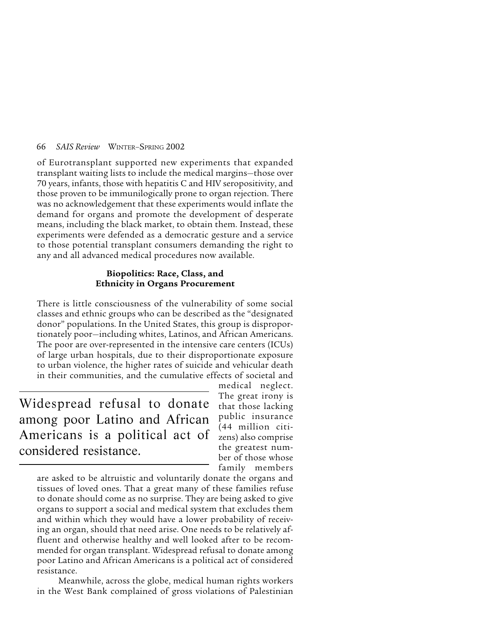of Eurotransplant supported new experiments that expanded transplant waiting lists to include the medical margins—those over 70 years, infants, those with hepatitis C and HIV seropositivity, and those proven to be immunilogically prone to organ rejection. There was no acknowledgement that these experiments would inflate the demand for organs and promote the development of desperate means, including the black market, to obtain them. Instead, these experiments were defended as a democratic gesture and a service to those potential transplant consumers demanding the right to any and all advanced medical procedures now available.

# **Biopolitics: Race, Class, and Ethnicity in Organs Procurement**

There is little consciousness of the vulnerability of some social classes and ethnic groups who can be described as the "designated donor" populations. In the United States, this group is disproportionately poor—including whites, Latinos, and African Americans. The poor are over-represented in the intensive care centers (ICUs) of large urban hospitals, due to their disproportionate exposure to urban violence, the higher rates of suicide and vehicular death in their communities, and the cumulative effects of societal and

Widespread refusal to donate among poor Latino and African Americans is a political act of considered resistance.

medical neglect. The great irony is that those lacking public insurance (44 million citizens) also comprise the greatest number of those whose family members

are asked to be altruistic and voluntarily donate the organs and tissues of loved ones. That a great many of these families refuse to donate should come as no surprise. They are being asked to give organs to support a social and medical system that excludes them and within which they would have a lower probability of receiving an organ, should that need arise. One needs to be relatively affluent and otherwise healthy and well looked after to be recommended for organ transplant. Widespread refusal to donate among poor Latino and African Americans is a political act of considered resistance.

Meanwhile, across the globe, medical human rights workers in the West Bank complained of gross violations of Palestinian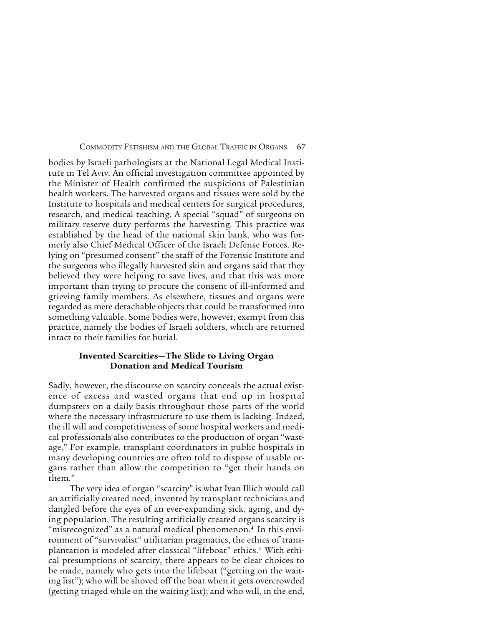bodies by Israeli pathologists at the National Legal Medical Institute in Tel Aviv. An official investigation committee appointed by the Minister of Health confirmed the suspicions of Palestinian health workers. The harvested organs and tissues were sold by the Institute to hospitals and medical centers for surgical procedures, research, and medical teaching. A special "squad" of surgeons on military reserve duty performs the harvesting. This practice was established by the head of the national skin bank, who was formerly also Chief Medical Officer of the Israeli Defense Forces. Relying on "presumed consent" the staff of the Forensic Institute and the surgeons who illegally harvested skin and organs said that they believed they were helping to save lives, and that this was more important than trying to procure the consent of ill-informed and grieving family members. As elsewhere, tissues and organs were regarded as mere detachable objects that could be transformed into something valuable. Some bodies were, however, exempt from this practice, namely the bodies of Israeli soldiers, which are returned intact to their families for burial.

# **Invented Scarcities—The Slide to Living Organ Donation and Medical Tourism**

Sadly, however, the discourse on scarcity conceals the actual existence of excess and wasted organs that end up in hospital dumpsters on a daily basis throughout those parts of the world where the necessary infrastructure to use them is lacking. Indeed, the ill will and competitiveness of some hospital workers and medical professionals also contributes to the production of organ "wastage." For example, transplant coordinators in public hospitals in many developing countries are often told to dispose of usable organs rather than allow the competition to "get their hands on them."

The very idea of organ "scarcity" is what Ivan Illich would call an artificially created need, invented by transplant technicians and dangled before the eyes of an ever-expanding sick, aging, and dying population. The resulting artificially created organs scarcity is "misrecognized" as a natural medical phenomenon.<sup>4</sup> In this environment of "survivalist" utilitarian pragmatics, the ethics of transplantation is modeled after classical "lifeboat" ethics.<sup>5</sup> With ethical presumptions of scarcity, there appears to be clear choices to be made, namely who gets into the lifeboat ("getting on the waiting list"); who will be shoved off the boat when it gets overcrowded (getting triaged while on the waiting list); and who will, in the end,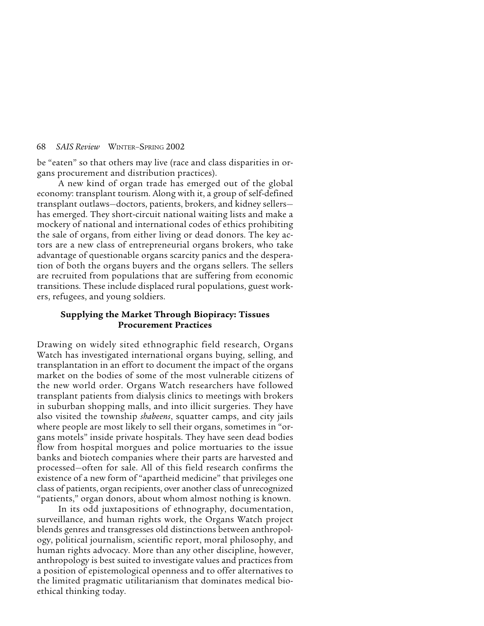be "eaten" so that others may live (race and class disparities in organs procurement and distribution practices).

A new kind of organ trade has emerged out of the global economy: transplant tourism. Along with it, a group of self-defined transplant outlaws—doctors, patients, brokers, and kidney sellers has emerged. They short-circuit national waiting lists and make a mockery of national and international codes of ethics prohibiting the sale of organs, from either living or dead donors. The key actors are a new class of entrepreneurial organs brokers, who take advantage of questionable organs scarcity panics and the desperation of both the organs buyers and the organs sellers. The sellers are recruited from populations that are suffering from economic transitions. These include displaced rural populations, guest workers, refugees, and young soldiers.

# **Supplying the Market Through Biopiracy: Tissues Procurement Practices**

Drawing on widely sited ethnographic field research, Organs Watch has investigated international organs buying, selling, and transplantation in an effort to document the impact of the organs market on the bodies of some of the most vulnerable citizens of the new world order. Organs Watch researchers have followed transplant patients from dialysis clinics to meetings with brokers in suburban shopping malls, and into illicit surgeries. They have also visited the township *shabeens*, squatter camps, and city jails where people are most likely to sell their organs, sometimes in "organs motels" inside private hospitals. They have seen dead bodies flow from hospital morgues and police mortuaries to the issue banks and biotech companies where their parts are harvested and processed—often for sale. All of this field research confirms the existence of a new form of "apartheid medicine" that privileges one class of patients, organ recipients, over another class of unrecognized "patients," organ donors, about whom almost nothing is known.

In its odd juxtapositions of ethnography, documentation, surveillance, and human rights work, the Organs Watch project blends genres and transgresses old distinctions between anthropology, political journalism, scientific report, moral philosophy, and human rights advocacy. More than any other discipline, however, anthropology is best suited to investigate values and practices from a position of epistemological openness and to offer alternatives to the limited pragmatic utilitarianism that dominates medical bioethical thinking today.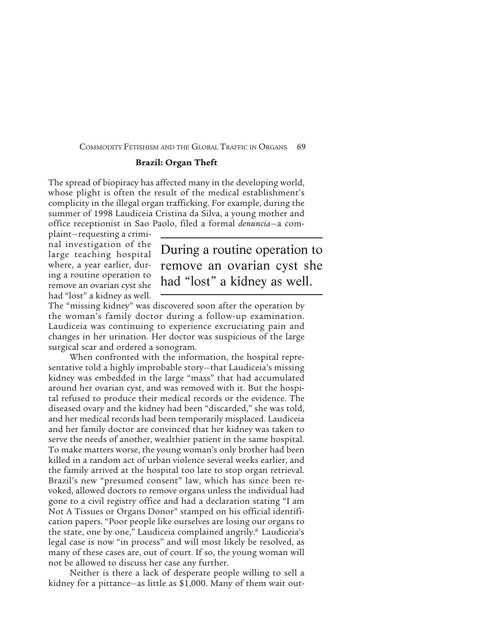#### **Brazil: Organ Theft**

The spread of biopiracy has affected many in the developing world, whose plight is often the result of the medical establishment's complicity in the illegal organ trafficking. For example, during the summer of 1998 Laudiceia Cristina da Silva, a young mother and office receptionist in Sao Paolo, filed a formal *denuncia*—a com-

plaint—requesting a criminal investigation of the large teaching hospital where, a year earlier, during a routine operation to remove an ovarian cyst she had "lost" a kidney as well.

During a routine operation to remove an ovarian cyst she had "lost" a kidney as well.

The "missing kidney" was discovered soon after the operation by the woman's family doctor during a follow-up examination. Laudiceia was continuing to experience excruciating pain and changes in her urination. Her doctor was suspicious of the large surgical scar and ordered a sonogram.

When confronted with the information, the hospital representative told a highly improbable story—that Laudiceia's missing kidney was embedded in the large "mass" that had accumulated around her ovarian cyst, and was removed with it. But the hospital refused to produce their medical records or the evidence. The diseased ovary and the kidney had been "discarded," she was told, and her medical records had been temporarily misplaced. Laudiceia and her family doctor are convinced that her kidney was taken to serve the needs of another, wealthier patient in the same hospital. To make matters worse, the young woman's only brother had been killed in a random act of urban violence several weeks earlier, and the family arrived at the hospital too late to stop organ retrieval. Brazil's new "presumed consent" law, which has since been revoked, allowed doctors to remove organs unless the individual had gone to a civil registry office and had a declaration stating "I am Not A Tissues or Organs Donor" stamped on his official identification papers. "Poor people like ourselves are losing our organs to the state, one by one," Laudiceia complained angrily.6 Laudiceia's legal case is now "in process" and will most likely be resolved, as many of these cases are, out of court. If so, the young woman will not be allowed to discuss her case any further.

Neither is there a lack of desperate people willing to sell a kidney for a pittance—as little as \$1,000. Many of them wait out-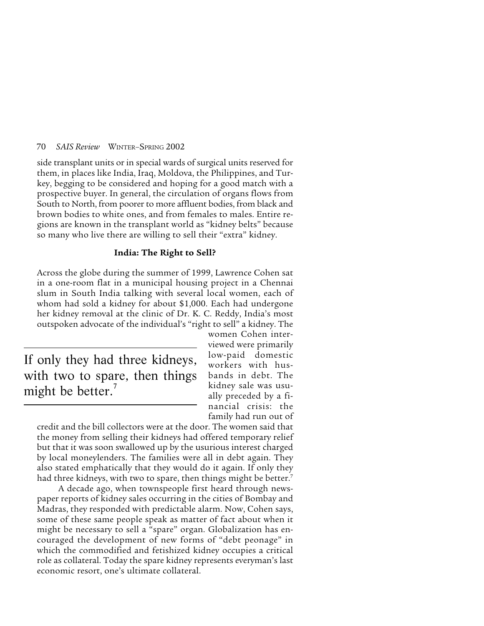side transplant units or in special wards of surgical units reserved for them, in places like India, Iraq, Moldova, the Philippines, and Turkey, begging to be considered and hoping for a good match with a prospective buyer. In general, the circulation of organs flows from South to North, from poorer to more affluent bodies, from black and brown bodies to white ones, and from females to males. Entire regions are known in the transplant world as "kidney belts" because so many who live there are willing to sell their "extra" kidney.

# **India: The Right to Sell?**

Across the globe during the summer of 1999, Lawrence Cohen sat in a one-room flat in a municipal housing project in a Chennai slum in South India talking with several local women, each of whom had sold a kidney for about \$1,000. Each had undergone her kidney removal at the clinic of Dr. K. C. Reddy, India's most outspoken advocate of the individual's "right to sell" a kidney. The

If only they had three kidneys, with two to spare, then things might be better.

women Cohen interviewed were primarily low-paid domestic workers with husbands in debt. The kidney sale was usually preceded by a financial crisis: the family had run out of

credit and the bill collectors were at the door. The women said that the money from selling their kidneys had offered temporary relief but that it was soon swallowed up by the usurious interest charged by local moneylenders. The families were all in debt again. They also stated emphatically that they would do it again. If only they had three kidneys, with two to spare, then things might be better.<sup>7</sup>

A decade ago, when townspeople first heard through newspaper reports of kidney sales occurring in the cities of Bombay and Madras, they responded with predictable alarm. Now, Cohen says, some of these same people speak as matter of fact about when it might be necessary to sell a "spare" organ. Globalization has encouraged the development of new forms of "debt peonage" in which the commodified and fetishized kidney occupies a critical role as collateral. Today the spare kidney represents everyman's last economic resort, one's ultimate collateral.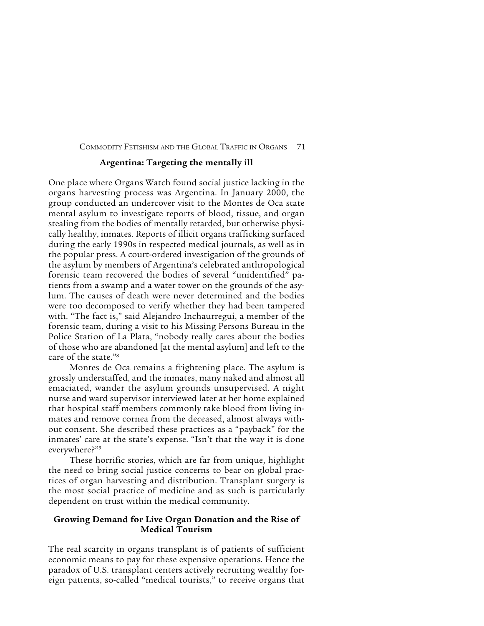#### **Argentina: Targeting the mentally ill**

One place where Organs Watch found social justice lacking in the organs harvesting process was Argentina. In January 2000, the group conducted an undercover visit to the Montes de Oca state mental asylum to investigate reports of blood, tissue, and organ stealing from the bodies of mentally retarded, but otherwise physically healthy, inmates. Reports of illicit organs trafficking surfaced during the early 1990s in respected medical journals, as well as in the popular press. A court-ordered investigation of the grounds of the asylum by members of Argentina's celebrated anthropological forensic team recovered the bodies of several "unidentified" patients from a swamp and a water tower on the grounds of the asylum. The causes of death were never determined and the bodies were too decomposed to verify whether they had been tampered with. "The fact is," said Alejandro Inchaurregui, a member of the forensic team, during a visit to his Missing Persons Bureau in the Police Station of La Plata, "nobody really cares about the bodies of those who are abandoned [at the mental asylum] and left to the care of the state."8

Montes de Oca remains a frightening place. The asylum is grossly understaffed, and the inmates, many naked and almost all emaciated, wander the asylum grounds unsupervised. A night nurse and ward supervisor interviewed later at her home explained that hospital staff members commonly take blood from living inmates and remove cornea from the deceased, almost always without consent. She described these practices as a "payback" for the inmates' care at the state's expense. "Isn't that the way it is done everywhere?"9

These horrific stories, which are far from unique, highlight the need to bring social justice concerns to bear on global practices of organ harvesting and distribution. Transplant surgery is the most social practice of medicine and as such is particularly dependent on trust within the medical community.

# **Growing Demand for Live Organ Donation and the Rise of Medical Tourism**

The real scarcity in organs transplant is of patients of sufficient economic means to pay for these expensive operations. Hence the paradox of U.S. transplant centers actively recruiting wealthy foreign patients, so-called "medical tourists," to receive organs that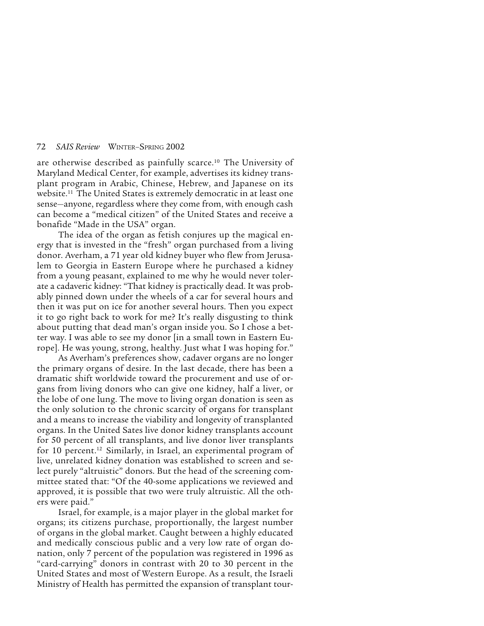are otherwise described as painfully scarce.10 The University of Maryland Medical Center, for example, advertises its kidney transplant program in Arabic, Chinese, Hebrew, and Japanese on its website.<sup>11</sup> The United States is extremely democratic in at least one sense—anyone, regardless where they come from, with enough cash can become a "medical citizen" of the United States and receive a bonafide "Made in the USA" organ.

The idea of the organ as fetish conjures up the magical energy that is invested in the "fresh" organ purchased from a living donor. Averham, a 71 year old kidney buyer who flew from Jerusalem to Georgia in Eastern Europe where he purchased a kidney from a young peasant, explained to me why he would never tolerate a cadaveric kidney: "That kidney is practically dead. It was probably pinned down under the wheels of a car for several hours and then it was put on ice for another several hours. Then you expect it to go right back to work for me? It's really disgusting to think about putting that dead man's organ inside you. So I chose a better way. I was able to see my donor [in a small town in Eastern Europe]. He was young, strong, healthy. Just what I was hoping for."

As Averham's preferences show, cadaver organs are no longer the primary organs of desire. In the last decade, there has been a dramatic shift worldwide toward the procurement and use of organs from living donors who can give one kidney, half a liver, or the lobe of one lung. The move to living organ donation is seen as the only solution to the chronic scarcity of organs for transplant and a means to increase the viability and longevity of transplanted organs. In the United Sates live donor kidney transplants account for 50 percent of all transplants, and live donor liver transplants for 10 percent.<sup>12</sup> Similarly, in Israel, an experimental program of live, unrelated kidney donation was established to screen and select purely "altruistic" donors. But the head of the screening committee stated that: "Of the 40-some applications we reviewed and approved, it is possible that two were truly altruistic. All the others were paid."

Israel, for example, is a major player in the global market for organs; its citizens purchase, proportionally, the largest number of organs in the global market. Caught between a highly educated and medically conscious public and a very low rate of organ donation, only 7 percent of the population was registered in 1996 as "card-carrying" donors in contrast with 20 to 30 percent in the United States and most of Western Europe. As a result, the Israeli Ministry of Health has permitted the expansion of transplant tour-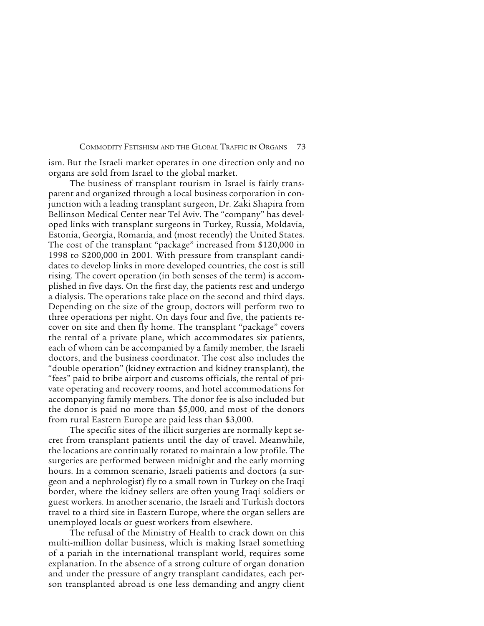ism. But the Israeli market operates in one direction only and no organs are sold from Israel to the global market.

The business of transplant tourism in Israel is fairly transparent and organized through a local business corporation in conjunction with a leading transplant surgeon, Dr. Zaki Shapira from Bellinson Medical Center near Tel Aviv. The "company" has developed links with transplant surgeons in Turkey, Russia, Moldavia, Estonia, Georgia, Romania, and (most recently) the United States. The cost of the transplant "package" increased from \$120,000 in 1998 to \$200,000 in 2001. With pressure from transplant candidates to develop links in more developed countries, the cost is still rising. The covert operation (in both senses of the term) is accomplished in five days. On the first day, the patients rest and undergo a dialysis. The operations take place on the second and third days. Depending on the size of the group, doctors will perform two to three operations per night. On days four and five, the patients recover on site and then fly home. The transplant "package" covers the rental of a private plane, which accommodates six patients, each of whom can be accompanied by a family member, the Israeli doctors, and the business coordinator. The cost also includes the "double operation" (kidney extraction and kidney transplant), the "fees" paid to bribe airport and customs officials, the rental of private operating and recovery rooms, and hotel accommodations for accompanying family members. The donor fee is also included but the donor is paid no more than \$5,000, and most of the donors from rural Eastern Europe are paid less than \$3,000.

The specific sites of the illicit surgeries are normally kept secret from transplant patients until the day of travel. Meanwhile, the locations are continually rotated to maintain a low profile. The surgeries are performed between midnight and the early morning hours. In a common scenario, Israeli patients and doctors (a surgeon and a nephrologist) fly to a small town in Turkey on the Iraqi border, where the kidney sellers are often young Iraqi soldiers or guest workers. In another scenario, the Israeli and Turkish doctors travel to a third site in Eastern Europe, where the organ sellers are unemployed locals or guest workers from elsewhere.

The refusal of the Ministry of Health to crack down on this multi-million dollar business, which is making Israel something of a pariah in the international transplant world, requires some explanation. In the absence of a strong culture of organ donation and under the pressure of angry transplant candidates, each person transplanted abroad is one less demanding and angry client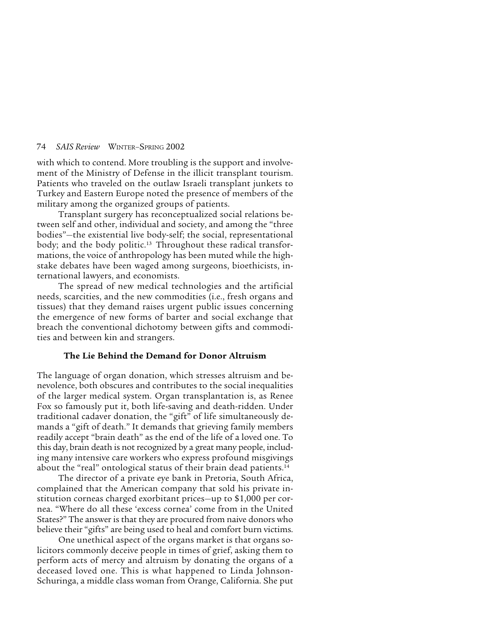with which to contend. More troubling is the support and involvement of the Ministry of Defense in the illicit transplant tourism. Patients who traveled on the outlaw Israeli transplant junkets to Turkey and Eastern Europe noted the presence of members of the military among the organized groups of patients.

Transplant surgery has reconceptualized social relations between self and other, individual and society, and among the "three bodies"—the existential live body-self; the social, representational body; and the body politic.<sup>13</sup> Throughout these radical transformations, the voice of anthropology has been muted while the highstake debates have been waged among surgeons, bioethicists, international lawyers, and economists.

The spread of new medical technologies and the artificial needs, scarcities, and the new commodities (i.e., fresh organs and tissues) that they demand raises urgent public issues concerning the emergence of new forms of barter and social exchange that breach the conventional dichotomy between gifts and commodities and between kin and strangers.

# **The Lie Behind the Demand for Donor Altruism**

The language of organ donation, which stresses altruism and benevolence, both obscures and contributes to the social inequalities of the larger medical system. Organ transplantation is, as Renee Fox so famously put it, both life-saving and death-ridden. Under traditional cadaver donation, the "gift" of life simultaneously demands a "gift of death." It demands that grieving family members readily accept "brain death" as the end of the life of a loved one. To this day, brain death is not recognized by a great many people, including many intensive care workers who express profound misgivings about the "real" ontological status of their brain dead patients.<sup>14</sup>

The director of a private eye bank in Pretoria, South Africa, complained that the American company that sold his private institution corneas charged exorbitant prices—up to \$1,000 per cornea. "Where do all these 'excess cornea' come from in the United States?" The answer is that they are procured from naive donors who believe their "gifts" are being used to heal and comfort burn victims.

One unethical aspect of the organs market is that organs solicitors commonly deceive people in times of grief, asking them to perform acts of mercy and altruism by donating the organs of a deceased loved one. This is what happened to Linda Johnson-Schuringa, a middle class woman from Orange, California. She put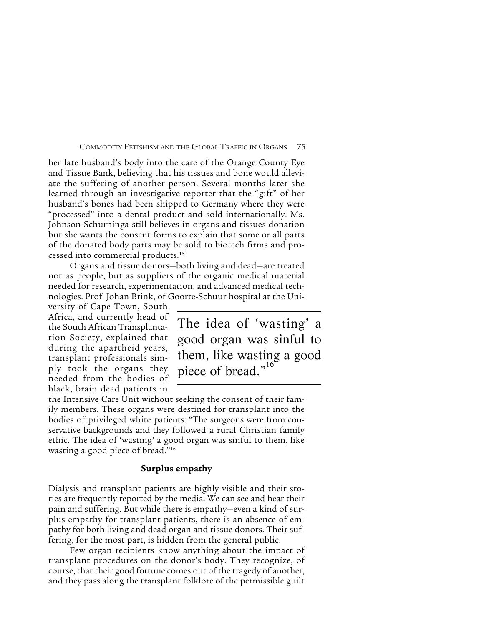her late husband's body into the care of the Orange County Eye and Tissue Bank, believing that his tissues and bone would alleviate the suffering of another person. Several months later she learned through an investigative reporter that the "gift" of her husband's bones had been shipped to Germany where they were "processed" into a dental product and sold internationally. Ms. Johnson-Schurninga still believes in organs and tissues donation but she wants the consent forms to explain that some or all parts of the donated body parts may be sold to biotech firms and processed into commercial products.15

Organs and tissue donors—both living and dead—are treated not as people, but as suppliers of the organic medical material needed for research, experimentation, and advanced medical technologies. Prof. Johan Brink, of Goorte-Schuur hospital at the Uni-

versity of Cape Town, South Africa, and currently head of the South African Transplantation Society, explained that during the apartheid years, transplant professionals simply took the organs they needed from the bodies of black, brain dead patients in

The idea of 'wasting' a good organ was sinful to them, like wasting a good piece of bread."<sup>16</sup>

the Intensive Care Unit without seeking the consent of their family members. These organs were destined for transplant into the bodies of privileged white patients: "The surgeons were from conservative backgrounds and they followed a rural Christian family ethic. The idea of 'wasting' a good organ was sinful to them, like wasting a good piece of bread."16

# **Surplus empathy**

Dialysis and transplant patients are highly visible and their stories are frequently reported by the media. We can see and hear their pain and suffering. But while there is empathy—even a kind of surplus empathy for transplant patients, there is an absence of empathy for both living and dead organ and tissue donors. Their suffering, for the most part, is hidden from the general public.

Few organ recipients know anything about the impact of transplant procedures on the donor's body. They recognize, of course, that their good fortune comes out of the tragedy of another, and they pass along the transplant folklore of the permissible guilt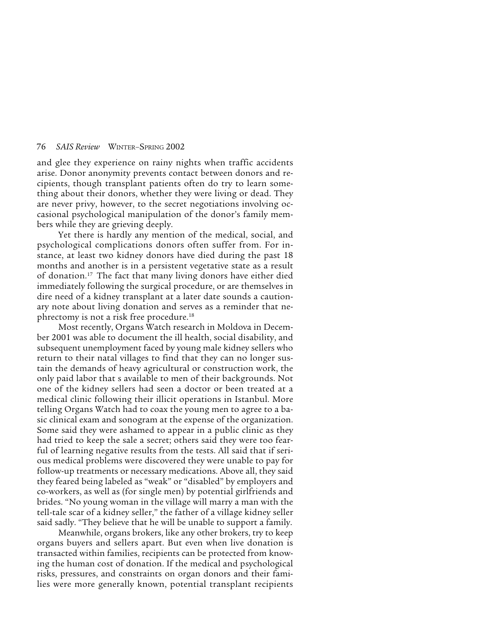and glee they experience on rainy nights when traffic accidents arise. Donor anonymity prevents contact between donors and recipients, though transplant patients often do try to learn something about their donors, whether they were living or dead. They are never privy, however, to the secret negotiations involving occasional psychological manipulation of the donor's family members while they are grieving deeply.

Yet there is hardly any mention of the medical, social, and psychological complications donors often suffer from. For instance, at least two kidney donors have died during the past 18 months and another is in a persistent vegetative state as a result of donation.17 The fact that many living donors have either died immediately following the surgical procedure, or are themselves in dire need of a kidney transplant at a later date sounds a cautionary note about living donation and serves as a reminder that nephrectomy is not a risk free procedure.18

Most recently, Organs Watch research in Moldova in December 2001 was able to document the ill health, social disability, and subsequent unemployment faced by young male kidney sellers who return to their natal villages to find that they can no longer sustain the demands of heavy agricultural or construction work, the only paid labor that s available to men of their backgrounds. Not one of the kidney sellers had seen a doctor or been treated at a medical clinic following their illicit operations in Istanbul. More telling Organs Watch had to coax the young men to agree to a basic clinical exam and sonogram at the expense of the organization. Some said they were ashamed to appear in a public clinic as they had tried to keep the sale a secret; others said they were too fearful of learning negative results from the tests. All said that if serious medical problems were discovered they were unable to pay for follow-up treatments or necessary medications. Above all, they said they feared being labeled as "weak" or "disabled" by employers and co-workers, as well as (for single men) by potential girlfriends and brides. "No young woman in the village will marry a man with the tell-tale scar of a kidney seller," the father of a village kidney seller said sadly. "They believe that he will be unable to support a family.

Meanwhile, organs brokers, like any other brokers, try to keep organs buyers and sellers apart. But even when live donation is transacted within families, recipients can be protected from knowing the human cost of donation. If the medical and psychological risks, pressures, and constraints on organ donors and their families were more generally known, potential transplant recipients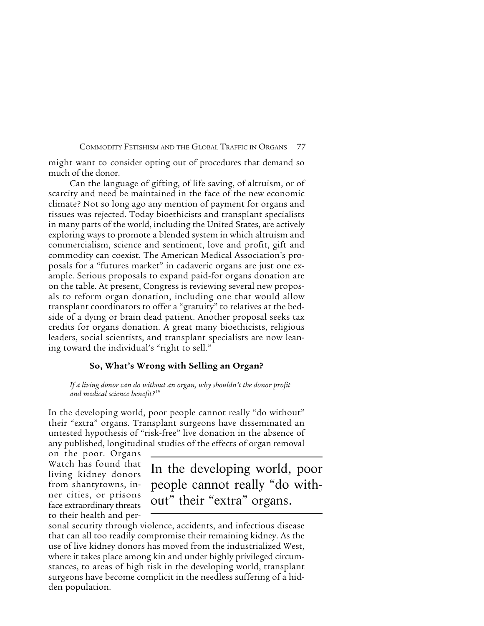might want to consider opting out of procedures that demand so much of the donor.

Can the language of gifting, of life saving, of altruism, or of scarcity and need be maintained in the face of the new economic climate? Not so long ago any mention of payment for organs and tissues was rejected. Today bioethicists and transplant specialists in many parts of the world, including the United States, are actively exploring ways to promote a blended system in which altruism and commercialism, science and sentiment, love and profit, gift and commodity can coexist. The American Medical Association's proposals for a "futures market" in cadaveric organs are just one example. Serious proposals to expand paid-for organs donation are on the table. At present, Congress is reviewing several new proposals to reform organ donation, including one that would allow transplant coordinators to offer a "gratuity" to relatives at the bedside of a dying or brain dead patient. Another proposal seeks tax credits for organs donation. A great many bioethicists, religious leaders, social scientists, and transplant specialists are now leaning toward the individual's "right to sell."

# **So, What's Wrong with Selling an Organ?**

*If a living donor can do without an organ, why shouldn't the donor profit and medical science benefit?*<sup>19</sup>

In the developing world, poor people cannot really "do without" their "extra" organs. Transplant surgeons have disseminated an untested hypothesis of "risk-free" live donation in the absence of any published, longitudinal studies of the effects of organ removal

on the poor. Organs Watch has found that living kidney donors from shantytowns, inner cities, or prisons face extraordinary threats to their health and per-

In the developing world, poor people cannot really "do without" their "extra" organs.

sonal security through violence, accidents, and infectious disease that can all too readily compromise their remaining kidney. As the use of live kidney donors has moved from the industrialized West, where it takes place among kin and under highly privileged circumstances, to areas of high risk in the developing world, transplant surgeons have become complicit in the needless suffering of a hidden population.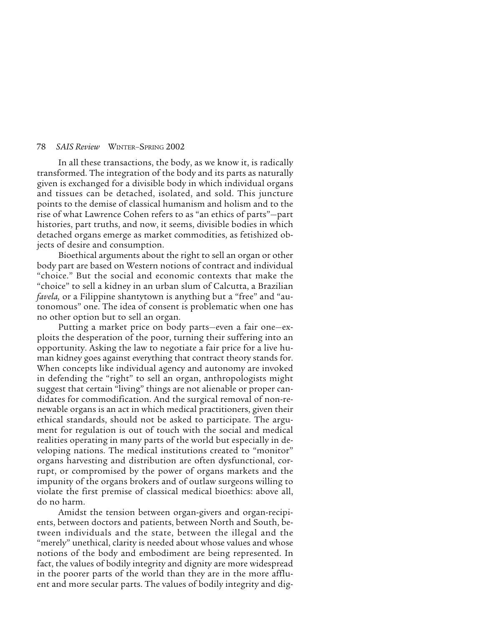In all these transactions, the body, as we know it, is radically transformed. The integration of the body and its parts as naturally given is exchanged for a divisible body in which individual organs and tissues can be detached, isolated, and sold. This juncture points to the demise of classical humanism and holism and to the rise of what Lawrence Cohen refers to as "an ethics of parts"—part histories, part truths, and now, it seems, divisible bodies in which detached organs emerge as market commodities, as fetishized objects of desire and consumption.

Bioethical arguments about the right to sell an organ or other body part are based on Western notions of contract and individual "choice." But the social and economic contexts that make the "choice" to sell a kidney in an urban slum of Calcutta, a Brazilian *favela,* or a Filippine shantytown is anything but a "free" and "autonomous" one. The idea of consent is problematic when one has no other option but to sell an organ.

Putting a market price on body parts—even a fair one—exploits the desperation of the poor, turning their suffering into an opportunity. Asking the law to negotiate a fair price for a live human kidney goes against everything that contract theory stands for. When concepts like individual agency and autonomy are invoked in defending the "right" to sell an organ, anthropologists might suggest that certain "living" things are not alienable or proper candidates for commodification. And the surgical removal of non-renewable organs is an act in which medical practitioners, given their ethical standards, should not be asked to participate. The argument for regulation is out of touch with the social and medical realities operating in many parts of the world but especially in developing nations. The medical institutions created to "monitor" organs harvesting and distribution are often dysfunctional, corrupt, or compromised by the power of organs markets and the impunity of the organs brokers and of outlaw surgeons willing to violate the first premise of classical medical bioethics: above all, do no harm.

Amidst the tension between organ-givers and organ-recipients, between doctors and patients, between North and South, between individuals and the state, between the illegal and the "merely" unethical, clarity is needed about whose values and whose notions of the body and embodiment are being represented. In fact, the values of bodily integrity and dignity are more widespread in the poorer parts of the world than they are in the more affluent and more secular parts. The values of bodily integrity and dig-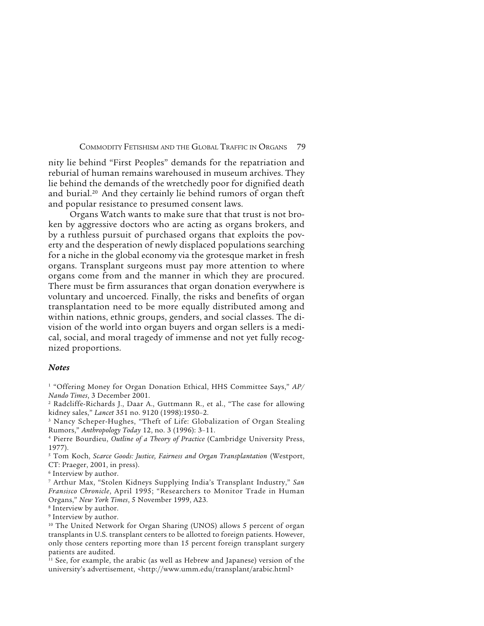nity lie behind "First Peoples" demands for the repatriation and reburial of human remains warehoused in museum archives. They lie behind the demands of the wretchedly poor for dignified death and burial.20 And they certainly lie behind rumors of organ theft and popular resistance to presumed consent laws.

Organs Watch wants to make sure that that trust is not broken by aggressive doctors who are acting as organs brokers, and by a ruthless pursuit of purchased organs that exploits the poverty and the desperation of newly displaced populations searching for a niche in the global economy via the grotesque market in fresh organs. Transplant surgeons must pay more attention to where organs come from and the manner in which they are procured. There must be firm assurances that organ donation everywhere is voluntary and uncoerced. Finally, the risks and benefits of organ transplantation need to be more equally distributed among and within nations, ethnic groups, genders, and social classes. The division of the world into organ buyers and organ sellers is a medical, social, and moral tragedy of immense and not yet fully recognized proportions.

#### *Notes*

<sup>1</sup> "Offering Money for Organ Donation Ethical, HHS Committee Says," *AP/ Nando Times*, 3 December 2001.

2 Radcliffe-Richards J., Daar A., Guttmann R., et al., "The case for allowing kidney sales," *Lancet* 351 no. 9120 (1998):1950–2.

3 Nancy Scheper-Hughes, "Theft of Life: Globalization of Organ Stealing Rumors," *Anthropology Today* 12, no. 3 (1996): 3–11.

4 Pierre Bourdieu, *Outline of a Theory of Practice* (Cambridge University Press, 1977).

5 Tom Koch, *Scarce Goods: Justice, Fairness and Organ Transplantation* (Westport, CT: Praeger, 2001, in press).

6 Interview by author.

7 Arthur Max, "Stolen Kidneys Supplying India's Transplant Industry," *San Fransisco Chronicle*, April 1995; "Researchers to Monitor Trade in Human Organs," *New York Times*, 5 November 1999, A23.

8 Interview by author.

<sup>9</sup> Interview by author.

<sup>10</sup> The United Network for Organ Sharing (UNOS) allows 5 percent of organ transplants in U.S. transplant centers to be allotted to foreign patients. However, only those centers reporting more than 15 percent foreign transplant surgery patients are audited.

<sup>11</sup> See, for example, the arabic (as well as Hebrew and Japanese) version of the university's advertisement, <http://www.umm.edu/transplant/arabic.html>